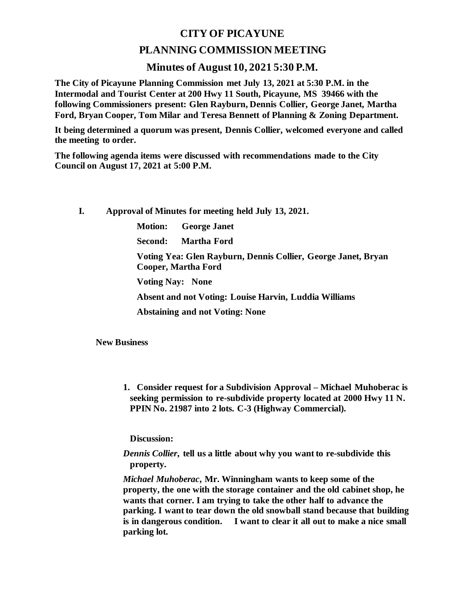## **CITY OF PICAYUNE**

## **PLANNING COMMISSION MEETING**

## **Minutes of August 10, 2021 5:30 P.M.**

**The City of Picayune Planning Commission met July 13, 2021 at 5:30 P.M. in the Intermodal and Tourist Center at 200 Hwy 11 South, Picayune, MS 39466 with the following Commissioners present: Glen Rayburn, Dennis Collier, George Janet, Martha Ford, Bryan Cooper, Tom Milar and Teresa Bennett of Planning & Zoning Department.**

**It being determined a quorum was present, Dennis Collier, welcomed everyone and called the meeting to order.**

**The following agenda items were discussed with recommendations made to the City Council on August 17, 2021 at 5:00 P.M.** 

**I. Approval of Minutes for meeting held July 13, 2021.**

**Motion: George Janet**

**Second: Martha Ford**

**Voting Yea: Glen Rayburn, Dennis Collier, George Janet, Bryan Cooper, Martha Ford**

**Voting Nay: None**

**Absent and not Voting: Louise Harvin, Luddia Williams**

**Abstaining and not Voting: None**

**New Business**

**1. Consider request for a Subdivision Approval – Michael Muhoberac is seeking permission to re-subdivide property located at 2000 Hwy 11 N. PPIN No. 21987 into 2 lots. C-3 (Highway Commercial).** 

**Discussion:**

*Dennis Collier***, tell us a little about why you want to re-subdivide this property.**

*Michael Muhoberac***, Mr. Winningham wants to keep some of the property, the one with the storage container and the old cabinet shop, he wants that corner. I am trying to take the other half to advance the parking. I want to tear down the old snowball stand because that building is in dangerous condition. I want to clear it all out to make a nice small parking lot.**